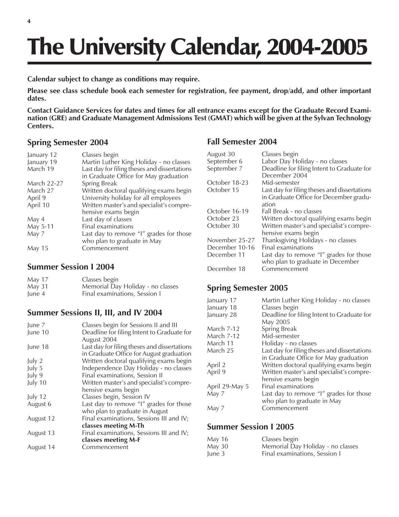# The University Calendar, 2004-2005

**Calendar subject to change as conditions may require.**

**Please see class schedule book each semester for registration, fee payment, drop/add, and other important dates.**

**Contact Guidance Services for dates and times for all entrance exams except for the Graduate Record Examination (GRE) and Graduate Management Admissions Test (GMAT) which will be given at the Sylvan Technology Centers.**

#### **Spring Semester 2004**

| January 12         | Classes begin                                |
|--------------------|----------------------------------------------|
| January 19         | Martin Luther King Holiday - no classes      |
| March 19           | Last day for filing theses and dissertations |
|                    | in Graduate Office for May graduation        |
| <b>March 22-27</b> | Spring Break                                 |
| March 27           | Written doctoral qualifying exams begin      |
| April 9            | University holiday for all employees         |
| April 10           | Written master's and specialist's compre-    |
|                    | hensive exams begin                          |
| May 4              | Last day of classes                          |
| May 5-11           | Final examinations                           |
| May 7              | Last day to remove "I" grades for those      |
|                    | who plan to graduate in May                  |
| <b>May 15</b>      | Commencement                                 |

## **Summer Session I 2004**

| May 17 | Classes begin                     |
|--------|-----------------------------------|
| May 31 | Memorial Day Holiday - no classes |
| June 4 | Final examinations, Session I     |

### **Summer Sessions II, III, and IV 2004**

| June 7    | Classes begin for Sessions II and III        |
|-----------|----------------------------------------------|
| June 10   | Deadline for filing Intent to Graduate for   |
|           | August 2004                                  |
| June 18   | Last day for filing theses and dissertations |
|           | in Graduate Office for August graduation     |
| July 2    | Written doctoral qualifying exams begin      |
| July 5    | Independence Day Holiday - no classes        |
| July 9    | Final examinations, Session II               |
| July 10   | Written master's and specialist's compre-    |
|           | hensive exams begin                          |
| July 12   | Classes begin, Session IV                    |
| August 6  | Last day to remove "I" grades for those      |
|           | who plan to graduate in August               |
| August 12 | Final examinations, Sessions III and IV;     |
|           | classes meeting M-Th                         |
| August 13 | Final examinations, Sessions III and IV;     |
|           | classes meeting M-F                          |
| August 14 | Commencement                                 |
|           |                                              |

### **Fall Semester 2004**

| August 30<br>September 6 | Classes begin<br>Labor Day Holiday - no classes             |
|--------------------------|-------------------------------------------------------------|
|                          |                                                             |
| September 7              | Deadline for filing Intent to Graduate for<br>December 2004 |
| October 18-23            | Mid-semester                                                |
| October 15               | Last day for filing theses and dissertations                |
|                          | in Graduate Office for December gradu-                      |
|                          | ation                                                       |
| October 16-19            | Fall Break - no classes                                     |
| October 23               | Written doctoral qualifying exams begin                     |
| October 30               | Written master's and specialist's compre-                   |
|                          | hensive exams begin                                         |
| November 25-27           | Thanksgiving Holidays - no classes                          |
| December 10-16           | <b>Final examinations</b>                                   |
| December 11              | Last day to remove "I" grades for those                     |
|                          | who plan to graduate in December                            |
| December 18              | Commencement                                                |

### **Spring Semester 2005**

| Martin Luther King Holiday - no classes      |
|----------------------------------------------|
| Classes begin                                |
| Deadline for filing Intent to Graduate for   |
| May 2005                                     |
| Spring Break                                 |
| Mid-semester                                 |
| Holiday - no classes                         |
| Last day for filing theses and dissertations |
| in Graduate Office for May graduation        |
| Written doctoral qualifying exams begin      |
| Written master's and specialist's compre-    |
| hensive exams begin                          |
| Final examinations                           |
| Last day to remove "I" grades for those      |
| who plan to graduate in May                  |
| Commencement                                 |
|                                              |

### **Summer Session I 2005**

| May 16 | Classes begin                     |
|--------|-----------------------------------|
| May 30 | Memorial Day Holiday - no classes |
| June 3 | Final examinations, Session I     |